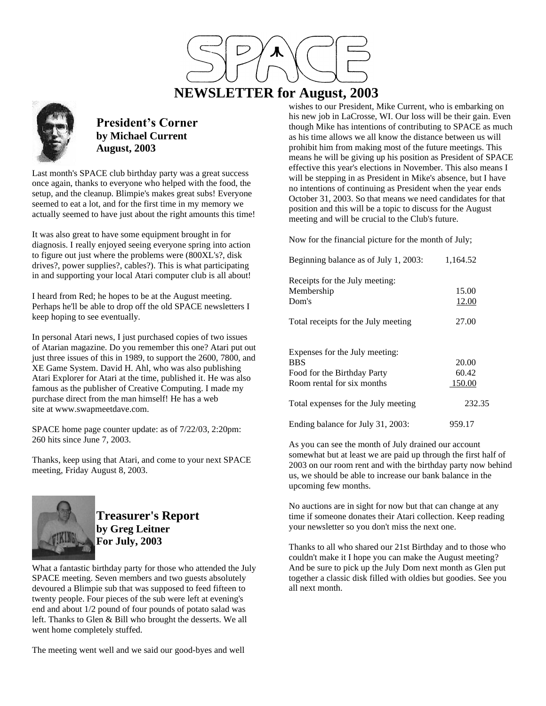

# **NEWSLETTER for August, 2003**



### **President's Corner by Michael Current August, 2003**

Last month's SPACE club birthday party was a great success once again, thanks to everyone who helped with the food, the setup, and the cleanup. Blimpie's makes great subs! Everyone seemed to eat a lot, and for the first time in my memory we actually seemed to have just about the right amounts this time!

It was also great to have some equipment brought in for diagnosis. I really enjoyed seeing everyone spring into action to figure out just where the problems were (800XL's?, disk drives?, power supplies?, cables?). This is what participating in and supporting your local Atari computer club is all about!

I heard from Red; he hopes to be at the August meeting. Perhaps he'll be able to drop off the old SPACE newsletters I keep hoping to see eventually.

In personal Atari news, I just purchased copies of two issues of Atarian magazine. Do you remember this one? Atari put out just three issues of this in 1989, to support the 2600, 7800, and XE Game System. David H. Ahl, who was also publishing Atari Explorer for Atari at the time, published it. He was also famous as the publisher of Creative Computing. I made my purchase direct from the man himself! He has a web site at www.swapmeetdave.com.

SPACE home page counter update: as of 7/22/03, 2:20pm: 260 hits since June 7, 2003.

Thanks, keep using that Atari, and come to your next SPACE meeting, Friday August 8, 2003.



## **Treasurer's Report by Greg Leitner For July, 2003**

What a fantastic birthday party for those who attended the July SPACE meeting. Seven members and two guests absolutely devoured a Blimpie sub that was supposed to feed fifteen to twenty people. Four pieces of the sub were left at evening's end and about 1/2 pound of four pounds of potato salad was left. Thanks to Glen & Bill who brought the desserts. We all went home completely stuffed.

The meeting went well and we said our good-byes and well

wishes to our President, Mike Current, who is embarking on his new job in LaCrosse, WI. Our loss will be their gain. Even though Mike has intentions of contributing to SPACE as much as his time allows we all know the distance between us will prohibit him from making most of the future meetings. This means he will be giving up his position as President of SPACE effective this year's elections in November. This also means I will be stepping in as President in Mike's absence, but I have no intentions of continuing as President when the year ends October 31, 2003. So that means we need candidates for that position and this will be a topic to discuss for the August meeting and will be crucial to the Club's future.

Now for the financial picture for the month of July;

| Beginning balance as of July 1, 2003:                                                                     | 1,164.52                 |
|-----------------------------------------------------------------------------------------------------------|--------------------------|
| Receipts for the July meeting:<br>Membership<br>Dom's                                                     | 15.00<br><u>12.00</u>    |
| Total receipts for the July meeting                                                                       | 27.00                    |
| Expenses for the July meeting:<br><b>BBS</b><br>Food for the Birthday Party<br>Room rental for six months | 20.00<br>60.42<br>150.00 |
| Total expenses for the July meeting                                                                       | 232.35                   |
| Ending balance for July 31, 2003:                                                                         | 959.17                   |

As you can see the month of July drained our account somewhat but at least we are paid up through the first half of 2003 on our room rent and with the birthday party now behind us, we should be able to increase our bank balance in the upcoming few months.

No auctions are in sight for now but that can change at any time if someone donates their Atari collection. Keep reading your newsletter so you don't miss the next one.

Thanks to all who shared our 21st Birthday and to those who couldn't make it I hope you can make the August meeting? And be sure to pick up the July Dom next month as Glen put together a classic disk filled with oldies but goodies. See you all next month.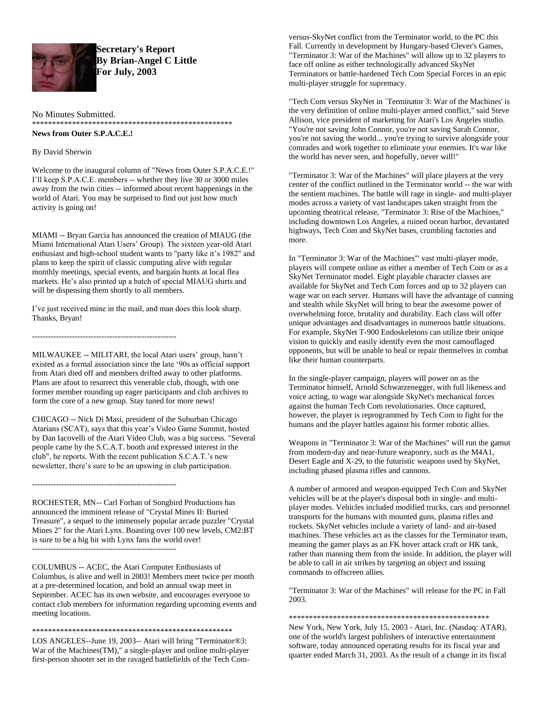

**Secretary's Report By Brian-Angel C Little For July, 2003**

No Minutes Submitted.

\*\*\*\*\*\*\*\*\*\*\*\*\*\*\*\*\*\*\*\*\*\*\*\*\*\*\*\*\*\*\*\*\*\*\*\*\*\*\*\*\*\*\*\*\*\*\*\*\*\*

**News from Outer S.P.A.C.E.!**

By David Sherwin

Welcome to the inaugural column of "News from Outer S.P.A.C.E.!" I'll keep S.P.A.C.E. members -- whether they live 30 or 3000 miles away from the twin cities -- informed about recent happenings in the world of Atari. You may be surprised to find out just how much activity is going on!

MIAMI -- Bryan Garcia has announced the creation of MIAUG (the Miami International Atari Users' Group). The sixteen year-old Atari enthusiast and high-school student wants to "party like it's 1982" and plans to keep the spirit of classic computing alive with regular monthly meetings, special events, and bargain hunts at local flea markets. He's also printed up a batch of special MIAUG shirts and will be dispensing them shortly to all members.

I've just received mine in the mail, and man does this look sharp. Thanks, Bryan!

------------------------------------------------------

------------------------------------------------------

MILWAUKEE -- MILITARI, the local Atari users' group, hasn't existed as a formal association since the late '90s as official support from Atari died off and members drifted away to other platforms. Plans are afoot to resurrect this venerable club, though, with one former member rounding up eager participants and club archives to form the core of a new group. Stay tuned for more news!

CHICAGO -- Nick Di Masi, president of the Suburban Chicago Atarians (SCAT), says that this year's Video Game Summit, hosted by Dan Iacovelli of the Atari Video Club, was a big success. "Several people came by the S.C.A.T. booth and expressed interest in the club", he reports. With the recent publication S.C.A.T.'s new newsletter, there's sure to be an upswing in club participation.

ROCHESTER, MN-- Carl Forhan of Songbird Productions has announced the imminent release of "Crystal Mines II: Buried Treasure", a sequel to the immensely popular arcade puzzler "Crystal Mines 2" for the Atari Lynx. Boasting over 100 new levels, CM2:BT is sure to be a big hit with Lynx fans the world over! ------------------------------------------------------

COLUMBUS -- ACEC, the Atari Computer Enthusiasts of Columbus, is alive and well in 2003! Members meet twice per month at a pre-determined location, and hold an annual swap meet in September. ACEC has its own website, and encourages everyone to contact club members for information regarding upcoming events and meeting locations.

\*\*\*\*\*\*\*\*\*\*\*\*\*\*\*\*\*\*\*\*\*\*\*\*\*\*\*\*\*\*\*\*\*\*\*\*\*\*\*\*\*\*\*\*\*\*\*\*\*\*

LOS ANGELES--June 19, 2003-- Atari will bring "Terminator®3: War of the Machines(TM)," a single-player and online multi-player first-person shooter set in the ravaged battlefields of the Tech Comversus-SkyNet conflict from the Terminator world, to the PC this Fall. Currently in development by Hungary-based Clever's Games, "Terminator 3: War of the Machines" will allow up to 32 players to face off online as either technologically advanced SkyNet Terminators or battle-hardened Tech Com Special Forces in an epic multi-player struggle for supremacy.

"Tech Com versus SkyNet in `Terminator 3: War of the Machines' is the very definition of online multi-player armed conflict," said Steve Allison, vice president of marketing for Atari's Los Angeles studio. "You're not saving John Connor, you're not saving Sarah Connor, you're not saving the world... you're trying to survive alongside your comrades and work together to eliminate your enemies. It's war like the world has never seen, and hopefully, never will!"

"Terminator 3: War of the Machines" will place players at the very center of the conflict outlined in the Terminator world -- the war with the sentient machines. The battle will rage in single- and multi-player modes across a variety of vast landscapes taken straight from the upcoming theatrical release, "Terminator 3: Rise of the Machines," including downtown Los Angeles, a ruined ocean harbor, devastated highways, Tech Com and SkyNet bases, crumbling factories and more.

In "Terminator 3: War of the Machines'" vast multi-player mode, players will compete online as either a member of Tech Com or as a SkyNet Terminator model. Eight playable character classes are available for SkyNet and Tech Com forces and up to 32 players can wage war on each server. Humans will have the advantage of cunning and stealth while SkyNet will bring to bear the awesome power of overwhelming force, brutality and durability. Each class will offer unique advantages and disadvantages in numerous battle situations. For example, SkyNet T-900 Endoskeletons can utilize their unique vision to quickly and easily identify even the most camouflaged opponents, but will be unable to heal or repair themselves in combat like their human counterparts.

In the single-player campaign, players will power on as the Terminator himself, Arnold Schwarzenegger, with full likeness and voice acting, to wage war alongside SkyNet's mechanical forces against the human Tech Com revolutionaries. Once captured, however, the player is reprogrammed by Tech Com to fight for the humans and the player battles against his former robotic allies.

Weapons in "Terminator 3: War of the Machines" will run the gamut from modern-day and near-future weaponry, such as the M4A1, Desert Eagle and X-29, to the futuristic weapons used by SkyNet, including phased plasma rifles and cannons.

A number of armored and weapon-equipped Tech Com and SkyNet vehicles will be at the player's disposal both in single- and multiplayer modes. Vehicles included modified trucks, cars and personnel transports for the humans with mounted guns, plasma rifles and rockets. SkyNet vehicles include a variety of land- and air-based machines. These vehicles act as the classes for the Terminator team, meaning the gamer plays as an FK hover attack craft or HK tank, rather than manning them from the inside. In addition, the player will be able to call in air strikes by targeting an object and issuing commands to offscreen allies.

"Terminator 3: War of the Machines" will release for the PC in Fall 2003.

\*\*\*\*\*\*\*\*\*\*\*\*\*\*\*\*\*\*\*\*\*\*\*\*\*\*\*\*\*\*\*\*\*\*\*\*\*\*\*\*\*\*\*\*\*\*\*\*\*\*

New York, New York, July 15, 2003 - Atari, Inc. (Nasdaq: ATAR), one of the world's largest publishers of interactive entertainment software, today announced operating results for its fiscal year and quarter ended March 31, 2003. As the result of a change in its fiscal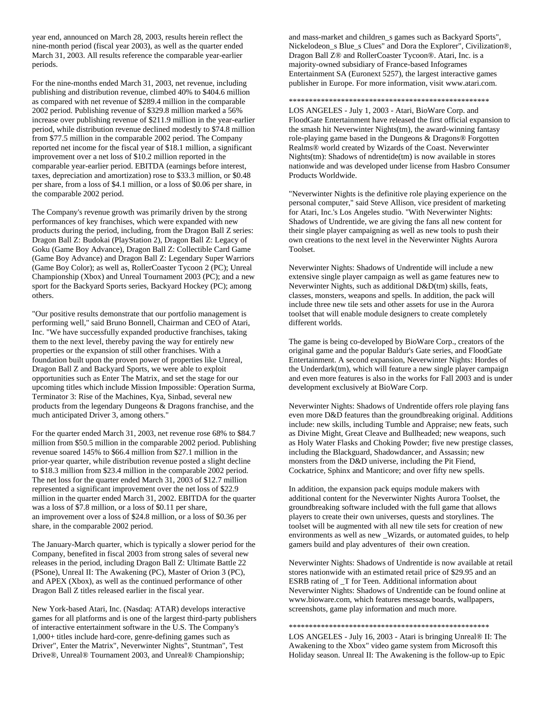year end, announced on March 28, 2003, results herein reflect the nine-month period (fiscal year 2003), as well as the quarter ended March 31, 2003. All results reference the comparable year-earlier periods.

For the nine-months ended March 31, 2003, net revenue, including publishing and distribution revenue, climbed 40% to \$404.6 million as compared with net revenue of \$289.4 million in the comparable 2002 period. Publishing revenue of \$329.8 million marked a 56% increase over publishing revenue of \$211.9 million in the year-earlier period, while distribution revenue declined modestly to \$74.8 million from \$77.5 million in the comparable 2002 period. The Company reported net income for the fiscal year of \$18.1 million, a significant improvement over a net loss of \$10.2 million reported in the comparable year-earlier period. EBITDA (earnings before interest, taxes, depreciation and amortization) rose to \$33.3 million, or \$0.48 per share, from a loss of \$4.1 million, or a loss of \$0.06 per share, in the comparable 2002 period.

The Company's revenue growth was primarily driven by the strong performances of key franchises, which were expanded with new products during the period, including, from the Dragon Ball Z series: Dragon Ball Z: Budokai (PlayStation 2), Dragon Ball Z: Legacy of Goku (Game Boy Advance), Dragon Ball Z: Collectible Card Game (Game Boy Advance) and Dragon Ball Z: Legendary Super Warriors (Game Boy Color); as well as, RollerCoaster Tycoon 2 (PC); Unreal Championship (Xbox) and Unreal Tournament 2003 (PC); and a new sport for the Backyard Sports series, Backyard Hockey (PC); among others.

"Our positive results demonstrate that our portfolio management is performing well," said Bruno Bonnell, Chairman and CEO of Atari, Inc. "We have successfully expanded productive franchises, taking them to the next level, thereby paving the way for entirely new properties or the expansion of still other franchises. With a foundation built upon the proven power of properties like Unreal, Dragon Ball Z and Backyard Sports, we were able to exploit opportunities such as Enter The Matrix, and set the stage for our upcoming titles which include Mission Impossible: Operation Surma, Terminator 3: Rise of the Machines, Kya, Sinbad, several new products from the legendary Dungeons & Dragons franchise, and the much anticipated Driver 3, among others."

For the quarter ended March 31, 2003, net revenue rose 68% to \$84.7 million from \$50.5 million in the comparable 2002 period. Publishing revenue soared 145% to \$66.4 million from \$27.1 million in the prior-year quarter, while distribution revenue posted a slight decline to \$18.3 million from \$23.4 million in the comparable 2002 period. The net loss for the quarter ended March 31, 2003 of \$12.7 million represented a significant improvement over the net loss of \$22.9 million in the quarter ended March 31, 2002. EBITDA for the quarter was a loss of \$7.8 million, or a loss of \$0.11 per share, an improvement over a loss of \$24.8 million, or a loss of \$0.36 per share, in the comparable 2002 period.

The January-March quarter, which is typically a slower period for the Company, benefited in fiscal 2003 from strong sales of several new releases in the period, including Dragon Ball Z: Ultimate Battle 22 (PSone), Unreal II: The Awakening (PC), Master of Orion 3 (PC), and APEX (Xbox), as well as the continued performance of other Dragon Ball Z titles released earlier in the fiscal year.

New York-based Atari, Inc. (Nasdaq: ATAR) develops interactive games for all platforms and is one of the largest third-party publishers of interactive entertainment software in the U.S. The Company's 1,000+ titles include hard-core, genre-defining games such as Driver", Enter the Matrix", Neverwinter Nights", Stuntman", Test Drive®, Unreal® Tournament 2003, and Unreal® Championship;

and mass-market and children\_s games such as Backyard Sports", Nickelodeon\_s Blue\_s Clues" and Dora the Explorer", Civilization®, Dragon Ball Z® and RollerCoaster Tycoon®. Atari, Inc. is a majority-owned subsidiary of France-based Infogrames Entertainment SA (Euronext 5257), the largest interactive games publisher in Europe. For more information, visit www.atari.com.

\*\*\*\*\*\*\*\*\*\*\*\*\*\*\*\*\*\*\*\*\*\*\*\*\*\*\*\*\*\*\*\*\*\*\*\*\*\*\*\*\*\*\*\*\*\*\*\*\*\*

LOS ANGELES - July 1, 2003 - Atari, BioWare Corp. and FloodGate Entertainment have released the first official expansion to the smash hit Neverwinter Nights(tm), the award-winning fantasy role-playing game based in the Dungeons & Dragons® Forgotten Realms® world created by Wizards of the Coast. Neverwinter Nights(tm): Shadows of ndrentide(tm) is now available in stores nationwide and was developed under license from Hasbro Consumer Products Worldwide.

"Neverwinter Nights is the definitive role playing experience on the personal computer," said Steve Allison, vice president of marketing for Atari, Inc.'s Los Angeles studio. "With Neverwinter Nights: Shadows of Undrentide, we are giving the fans all new content for their single player campaigning as well as new tools to push their own creations to the next level in the Neverwinter Nights Aurora Toolset.

Neverwinter Nights: Shadows of Undrentide will include a new extensive single player campaign as well as game features new to Neverwinter Nights, such as additional D&D(tm) skills, feats, classes, monsters, weapons and spells. In addition, the pack will include three new tile sets and other assets for use in the Aurora toolset that will enable module designers to create completely different worlds.

The game is being co-developed by BioWare Corp., creators of the original game and the popular Baldur's Gate series, and FloodGate Entertainment. A second expansion, Neverwinter Nights: Hordes of the Underdark(tm), which will feature a new single player campaign and even more features is also in the works for Fall 2003 and is under development exclusively at BioWare Corp.

Neverwinter Nights: Shadows of Undrentide offers role playing fans even more D&D features than the groundbreaking original. Additions include: new skills, including Tumble and Appraise; new feats, such as Divine Might, Great Cleave and Bullheaded; new weapons, such as Holy Water Flasks and Choking Powder; five new prestige classes, including the Blackguard, Shadowdancer, and Assassin; new monsters from the D&D universe, including the Pit Fiend, Cockatrice, Sphinx and Manticore; and over fifty new spells.

In addition, the expansion pack equips module makers with additional content for the Neverwinter Nights Aurora Toolset, the groundbreaking software included with the full game that allows players to create their own universes, quests and storylines. The toolset will be augmented with all new tile sets for creation of new environments as well as new \_Wizards, or automated guides, to help gamers build and play adventures of their own creation.

Neverwinter Nights: Shadows of Undrentide is now available at retail stores nationwide with an estimated retail price of \$29.95 and an ESRB rating of T for Teen. Additional information about Neverwinter Nights: Shadows of Undrentide can be found online at www.bioware.com, which features message boards, wallpapers, screenshots, game play information and much more.

#### \*\*\*\*\*\*\*\*\*\*\*\*\*\*\*\*\*\*\*\*\*\*\*\*\*\*\*\*\*\*\*\*\*\*\*\*\*\*\*\*\*\*\*\*\*\*\*\*\*\*

LOS ANGELES - July 16, 2003 - Atari is bringing Unreal® II: The Awakening to the Xbox" video game system from Microsoft this Holiday season. Unreal II: The Awakening is the follow-up to Epic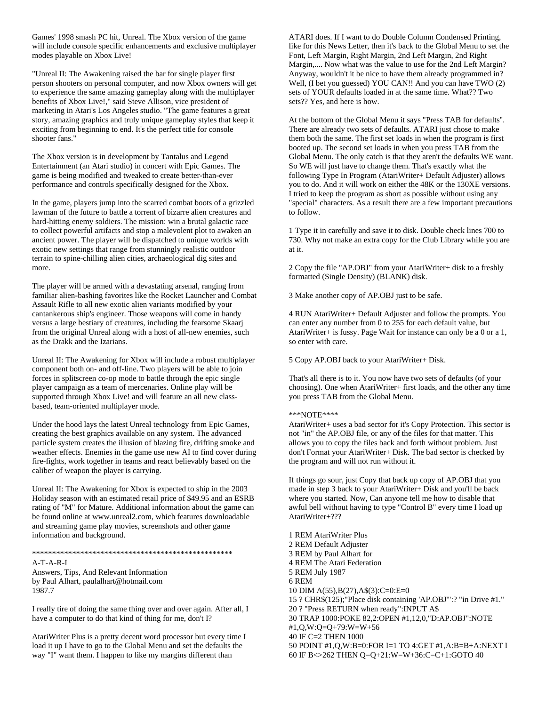Games' 1998 smash PC hit, Unreal. The Xbox version of the game will include console specific enhancements and exclusive multiplayer modes playable on Xbox Live!

"Unreal II: The Awakening raised the bar for single player first person shooters on personal computer, and now Xbox owners will get to experience the same amazing gameplay along with the multiplayer benefits of Xbox Live!," said Steve Allison, vice president of marketing in Atari's Los Angeles studio. "The game features a great story, amazing graphics and truly unique gameplay styles that keep it exciting from beginning to end. It's the perfect title for console shooter fans."

The Xbox version is in development by Tantalus and Legend Entertainment (an Atari studio) in concert with Epic Games. The game is being modified and tweaked to create better-than-ever performance and controls specifically designed for the Xbox.

In the game, players jump into the scarred combat boots of a grizzled lawman of the future to battle a torrent of bizarre alien creatures and hard-hitting enemy soldiers. The mission: win a brutal galactic race to collect powerful artifacts and stop a malevolent plot to awaken an ancient power. The player will be dispatched to unique worlds with exotic new settings that range from stunningly realistic outdoor terrain to spine-chilling alien cities, archaeological dig sites and more.

The player will be armed with a devastating arsenal, ranging from familiar alien-bashing favorites like the Rocket Launcher and Combat Assault Rifle to all new exotic alien variants modified by your cantankerous ship's engineer. Those weapons will come in handy versus a large bestiary of creatures, including the fearsome Skaarj from the original Unreal along with a host of all-new enemies, such as the Drakk and the Izarians.

Unreal II: The Awakening for Xbox will include a robust multiplayer component both on- and off-line. Two players will be able to join forces in splitscreen co-op mode to battle through the epic single player campaign as a team of mercenaries. Online play will be supported through Xbox Live! and will feature an all new classbased, team-oriented multiplayer mode.

Under the hood lays the latest Unreal technology from Epic Games, creating the best graphics available on any system. The advanced particle system creates the illusion of blazing fire, drifting smoke and weather effects. Enemies in the game use new AI to find cover during fire-fights, work together in teams and react believably based on the caliber of weapon the player is carrying.

Unreal II: The Awakening for Xbox is expected to ship in the 2003 Holiday season with an estimated retail price of \$49.95 and an ESRB rating of "M" for Mature. Additional information about the game can be found online at www.unreal2.com, which features downloadable and streaming game play movies, screenshots and other game information and background.

#### \*\*\*\*\*\*\*\*\*\*\*\*\*\*\*\*\*\*\*\*\*\*\*\*\*\*\*\*\*\*\*\*\*\*\*\*\*\*\*\*\*\*\*\*\*\*\*\*\*\*

A-T-A-R-I Answers, Tips, And Relevant Information by Paul Alhart, paulalhart@hotmail.com 1987.7

I really tire of doing the same thing over and over again. After all, I have a computer to do that kind of thing for me, don't I?

AtariWriter Plus is a pretty decent word processor but every time I load it up I have to go to the Global Menu and set the defaults the way "I" want them. I happen to like my margins different than

ATARI does. If I want to do Double Column Condensed Printing, like for this News Letter, then it's back to the Global Menu to set the Font, Left Margin, Right Margin, 2nd Left Margin, 2nd Right Margin,.... Now what was the value to use for the 2nd Left Margin? Anyway, wouldn't it be nice to have them already programmed in? Well, (I bet you guessed) YOU CAN!! And you can have TWO (2) sets of YOUR defaults loaded in at the same time. What?? Two sets?? Yes, and here is how.

At the bottom of the Global Menu it says "Press TAB for defaults". There are already two sets of defaults. ATARI just chose to make them both the same. The first set loads in when the program is first booted up. The second set loads in when you press TAB from the Global Menu. The only catch is that they aren't the defaults WE want. So WE will just have to change them. That's exactly what the following Type In Program (AtariWriter+ Default Adjuster) allows you to do. And it will work on either the 48K or the 130XE versions. I tried to keep the program as short as possible without using any "special" characters. As a result there are a few important precautions to follow.

1 Type it in carefully and save it to disk. Double check lines 700 to 730. Why not make an extra copy for the Club Library while you are at it.

2 Copy the file "AP.OBJ" from your AtariWriter+ disk to a freshly formatted (Single Density) (BLANK) disk.

3 Make another copy of AP.OBJ just to be safe.

4 RUN AtariWriter+ Default Adjuster and follow the prompts. You can enter any number from 0 to 255 for each default value, but AtariWriter+ is fussy. Page Wait for instance can only be a 0 or a 1, so enter with care.

5 Copy AP.OBJ back to your AtariWriter+ Disk.

That's all there is to it. You now have two sets of defaults (of your choosing). One when AtariWriter+ first loads, and the other any time you press TAB from the Global Menu.

#### \*\*\*NOTE\*\*\*\*

AtariWriter+ uses a bad sector for it's Copy Protection. This sector is not "in" the AP.OBJ file, or any of the files for that matter. This allows you to copy the files back and forth without problem. Just don't Format your AtariWriter+ Disk. The bad sector is checked by the program and will not run without it.

If things go sour, just Copy that back up copy of AP.OBJ that you made in step 3 back to your AtariWriter+ Disk and you'll be back where you started. Now, Can anyone tell me how to disable that awful bell without having to type "Control B" every time I load up AtariWriter+???

1 REM AtariWriter Plus 2 REM Default Adjuster 3 REM by Paul Alhart for 4 REM The Atari Federation 5 REM July 1987 6 REM 10 DIM A(55),B(27),A\$(3):C=0:E=0 15 ? CHR\$(125);"Place disk containing 'AP.OBJ'":? "in Drive #1." 20 ? "Press RETURN when ready":INPUT A\$ 30 TRAP 1000:POKE 82,2:OPEN #1,12,0,"D:AP.OBJ":NOTE #1,Q,W:Q=Q+79:W=W+56 40 IF C=2 THEN 1000 50 POINT #1,Q,W:B=0:FOR I=1 TO 4:GET #1,A:B=B+A:NEXT I 60 IF B<>262 THEN Q=Q+21:W=W+36:C=C+1:GOTO 40